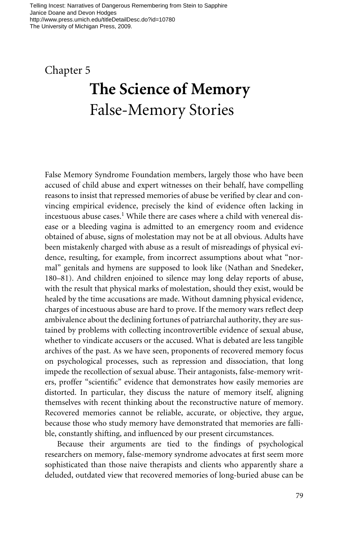## Chapter 5 **The Science of Memory** False-Memory Stories

False Memory Syndrome Foundation members, largely those who have been accused of child abuse and expert witnesses on their behalf, have compelling reasons to insist that repressed memories of abuse be verified by clear and convincing empirical evidence, precisely the kind of evidence often lacking in incestuous abuse cases.<sup>1</sup> While there are cases where a child with venereal disease or a bleeding vagina is admitted to an emergency room and evidence obtained of abuse, signs of molestation may not be at all obvious. Adults have been mistakenly charged with abuse as a result of misreadings of physical evidence, resulting, for example, from incorrect assumptions about what "normal" genitals and hymens are supposed to look like (Nathan and Snedeker, 180–81). And children enjoined to silence may long delay reports of abuse, with the result that physical marks of molestation, should they exist, would be healed by the time accusations are made. Without damning physical evidence, charges of incestuous abuse are hard to prove. If the memory wars reflect deep ambivalence about the declining fortunes of patriarchal authority, they are sustained by problems with collecting incontrovertible evidence of sexual abuse, whether to vindicate accusers or the accused. What is debated are less tangible archives of the past. As we have seen, proponents of recovered memory focus on psychological processes, such as repression and dissociation, that long impede the recollection of sexual abuse. Their antagonists, false-memory writers, proffer "scientific" evidence that demonstrates how easily memories are distorted. In particular, they discuss the nature of memory itself, aligning themselves with recent thinking about the reconstructive nature of memory. Recovered memories cannot be reliable, accurate, or objective, they argue, because those who study memory have demonstrated that memories are fallible, constantly shifting, and influenced by our present circumstances.

Because their arguments are tied to the findings of psychological researchers on memory, false-memory syndrome advocates at first seem more sophisticated than those naive therapists and clients who apparently share a deluded, outdated view that recovered memories of long-buried abuse can be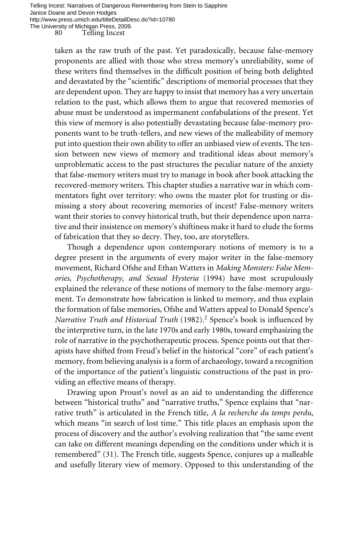80 Telling Incest Telling Incest: Narratives of Dangerous Remembering from Stein to Sapphire Janice Doane and Devon Hodges http://www.press.umich.edu/titleDetailDesc.do?id=10780 The University of Michigan Press, 2009.

> taken as the raw truth of the past. Yet paradoxically, because false-memory proponents are allied with those who stress memory's unreliability, some of these writers find themselves in the difficult position of being both delighted and devastated by the "scientific" descriptions of memorial processes that they are dependent upon. They are happy to insist that memory has a very uncertain relation to the past, which allows them to argue that recovered memories of abuse must be understood as impermanent confabulations of the present. Yet this view of memory is also potentially devastating because false-memory proponents want to be truth-tellers, and new views of the malleability of memory put into question their own ability to offer an unbiased view of events. The tension between new views of memory and traditional ideas about memory's unproblematic access to the past structures the peculiar nature of the anxiety that false-memory writers must try to manage in book after book attacking the recovered-memory writers. This chapter studies a narrative war in which commentators fight over territory: who owns the master plot for trusting or dismissing a story about recovering memories of incest? False-memory writers want their stories to convey historical truth, but their dependence upon narrative and their insistence on memory's shiftiness make it hard to elude the forms of fabrication that they so decry. They, too, are storytellers.

> Though a dependence upon contemporary notions of memory is to a degree present in the arguments of every major writer in the false-memory movement, Richard Ofshe and Ethan Watters in *Making Monsters: False Memories, Psychotherapy, and Sexual Hysteria* (1994) have most scrupulously explained the relevance of these notions of memory to the false-memory argument. To demonstrate how fabrication is linked to memory, and thus explain the formation of false memories, Ofshe and Watters appeal to Donald Spence's *Narrative Truth and Historical Truth* (1982).<sup>2</sup> Spence's book is influenced by the interpretive turn, in the late 1970s and early 1980s, toward emphasizing the role of narrative in the psychotherapeutic process. Spence points out that therapists have shifted from Freud's belief in the historical "core" of each patient's memory, from believing analysis is a form of archaeology, toward a recognition of the importance of the patient's linguistic constructions of the past in providing an effective means of therapy.

> Drawing upon Proust's novel as an aid to understanding the difference between "historical truths" and "narrative truths," Spence explains that "narrative truth" is articulated in the French title, *A la recherche du temps perdu,* which means "in search of lost time." This title places an emphasis upon the process of discovery and the author's evolving realization that "the same event can take on different meanings depending on the conditions under which it is remembered" (31). The French title, suggests Spence, conjures up a malleable and usefully literary view of memory. Opposed to this understanding of the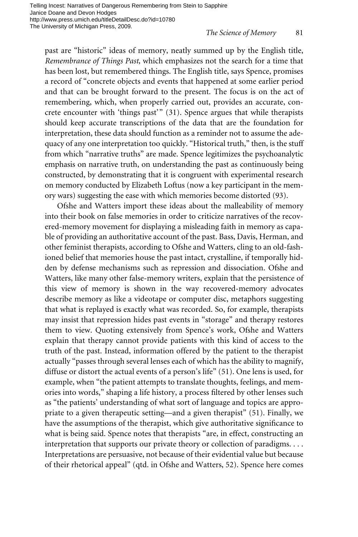Telling Incest: Narratives of Dangerous Remembering from Stein to Sapphire Janice Doane and Devon Hodges http://www.press.umich.edu/titleDetailDesc.do?id=10780 The University of Michigan Press, 2009.

## *The Science of Memory* 81

past are "historic" ideas of memory, neatly summed up by the English title, *Remembrance of Things Past,* which emphasizes not the search for a time that has been lost, but remembered things. The English title, says Spence, promises a record of "concrete objects and events that happened at some earlier period and that can be brought forward to the present. The focus is on the act of remembering, which, when properly carried out, provides an accurate, concrete encounter with 'things past'" (31). Spence argues that while therapists should keep accurate transcriptions of the data that are the foundation for interpretation, these data should function as a reminder not to assume the adequacy of any one interpretation too quickly. "Historical truth," then, is the stuff from which "narrative truths" are made. Spence legitimizes the psychoanalytic emphasis on narrative truth, on understanding the past as continuously being constructed, by demonstrating that it is congruent with experimental research on memory conducted by Elizabeth Loftus (now a key participant in the memory wars) suggesting the ease with which memories become distorted (93).

Ofshe and Watters import these ideas about the malleability of memory into their book on false memories in order to criticize narratives of the recovered-memory movement for displaying a misleading faith in memory as capable of providing an authoritative account of the past. Bass, Davis, Herman, and other feminist therapists, according to Ofshe and Watters, cling to an old-fashioned belief that memories house the past intact, crystalline, if temporally hidden by defense mechanisms such as repression and dissociation. Ofshe and Watters, like many other false-memory writers, explain that the persistence of this view of memory is shown in the way recovered-memory advocates describe memory as like a videotape or computer disc, metaphors suggesting that what is replayed is exactly what was recorded. So, for example, therapists may insist that repression hides past events in "storage" and therapy restores them to view. Quoting extensively from Spence's work, Ofshe and Watters explain that therapy cannot provide patients with this kind of access to the truth of the past. Instead, information offered by the patient to the therapist actually "passes through several lenses each of which has the ability to magnify, diffuse or distort the actual events of a person's life" (51). One lens is used, for example, when "the patient attempts to translate thoughts, feelings, and memories into words," shaping a life history, a process filtered by other lenses such as "the patients' understanding of what sort of language and topics are appropriate to a given therapeutic setting—and a given therapist" (51). Finally, we have the assumptions of the therapist, which give authoritative significance to what is being said. Spence notes that therapists "are, in effect, constructing an interpretation that supports our private theory or collection of paradigms. . . . Interpretations are persuasive, not because of their evidential value but because of their rhetorical appeal" (qtd. in Ofshe and Watters, 52). Spence here comes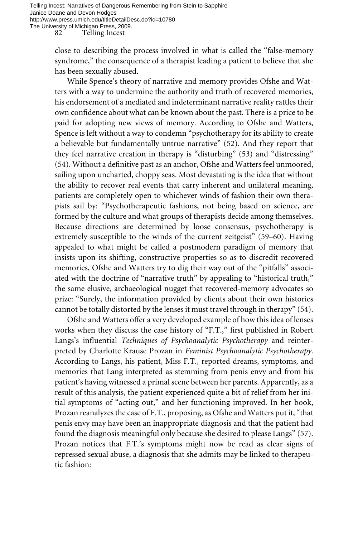82 Telling Incest Telling Incest: Narratives of Dangerous Remembering from Stein to Sapphire Janice Doane and Devon Hodges http://www.press.umich.edu/titleDetailDesc.do?id=10780 The University of Michigan Press, 2009.

> close to describing the process involved in what is called the "false-memory syndrome," the consequence of a therapist leading a patient to believe that she has been sexually abused.

> While Spence's theory of narrative and memory provides Ofshe and Watters with a way to undermine the authority and truth of recovered memories, his endorsement of a mediated and indeterminant narrative reality rattles their own confidence about what can be known about the past. There is a price to be paid for adopting new views of memory. According to Ofshe and Watters, Spence is left without a way to condemn "psychotherapy for its ability to create a believable but fundamentally untrue narrative" (52). And they report that they feel narrative creation in therapy is "disturbing" (53) and "distressing" (54). Without a definitive past as an anchor, Ofshe and Watters feel unmoored, sailing upon uncharted, choppy seas. Most devastating is the idea that without the ability to recover real events that carry inherent and unilateral meaning, patients are completely open to whichever winds of fashion their own therapists sail by: "Psychotherapeutic fashions, not being based on science, are formed by the culture and what groups of therapists decide among themselves. Because directions are determined by loose consensus, psychotherapy is extremely susceptible to the winds of the current zeitgeist" (59–60). Having appealed to what might be called a postmodern paradigm of memory that insists upon its shifting, constructive properties so as to discredit recovered memories, Ofshe and Watters try to dig their way out of the "pitfalls" associated with the doctrine of "narrative truth" by appealing to "historical truth," the same elusive, archaeological nugget that recovered-memory advocates so prize: "Surely, the information provided by clients about their own histories cannot be totally distorted by the lenses it must travel through in therapy" (54).

> Ofshe and Watters offer a very developed example of how this idea of lenses works when they discuss the case history of "F.T.," first published in Robert Langs's influential *Techniques of Psychoanalytic Psychotherapy* and reinterpreted by Charlotte Krause Prozan in *Feminist Psychoanalytic Psychotherapy.* According to Langs, his patient, Miss F.T., reported dreams, symptoms, and memories that Lang interpreted as stemming from penis envy and from his patient's having witnessed a primal scene between her parents. Apparently, as a result of this analysis, the patient experienced quite a bit of relief from her initial symptoms of "acting out," and her functioning improved. In her book, Prozan reanalyzes the case of F.T., proposing, as Ofshe and Watters put it, "that penis envy may have been an inappropriate diagnosis and that the patient had found the diagnosis meaningful only because she desired to please Langs" (57). Prozan notices that F.T.'s symptoms might now be read as clear signs of repressed sexual abuse, a diagnosis that she admits may be linked to therapeutic fashion: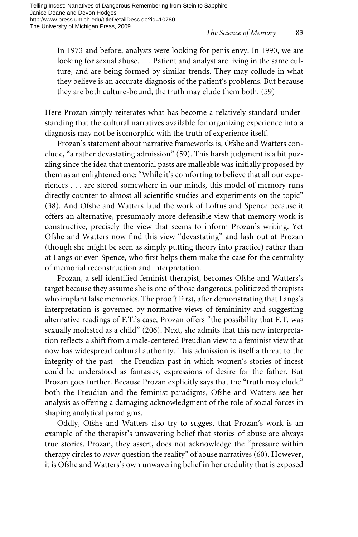In 1973 and before, analysts were looking for penis envy. In 1990, we are looking for sexual abuse. . . . Patient and analyst are living in the same culture, and are being formed by similar trends. They may collude in what they believe is an accurate diagnosis of the patient's problems. But because they are both culture-bound, the truth may elude them both. (59)

Here Prozan simply reiterates what has become a relatively standard understanding that the cultural narratives available for organizing experience into a diagnosis may not be isomorphic with the truth of experience itself.

Prozan's statement about narrative frameworks is, Ofshe and Watters conclude, "a rather devastating admission" (59). This harsh judgment is a bit puzzling since the idea that memorial pasts are malleable was initially proposed by them as an enlightened one: "While it's comforting to believe that all our experiences . . . are stored somewhere in our minds, this model of memory runs directly counter to almost all scientific studies and experiments on the topic" (38). And Ofshe and Watters laud the work of Loftus and Spence because it offers an alternative, presumably more defensible view that memory work is constructive, precisely the view that seems to inform Prozan's writing. Yet Ofshe and Watters now find this view "devastating" and lash out at Prozan (though she might be seen as simply putting theory into practice) rather than at Langs or even Spence, who first helps them make the case for the centrality of memorial reconstruction and interpretation.

Prozan, a self-identified feminist therapist, becomes Ofshe and Watters's target because they assume she is one of those dangerous, politicized therapists who implant false memories. The proof? First, after demonstrating that Langs's interpretation is governed by normative views of femininity and suggesting alternative readings of F.T.'s case, Prozan offers "the possibility that F.T. was sexually molested as a child" (206). Next, she admits that this new interpretation reflects a shift from a male-centered Freudian view to a feminist view that now has widespread cultural authority. This admission is itself a threat to the integrity of the past—the Freudian past in which women's stories of incest could be understood as fantasies, expressions of desire for the father. But Prozan goes further. Because Prozan explicitly says that the "truth may elude" both the Freudian and the feminist paradigms, Ofshe and Watters see her analysis as offering a damaging acknowledgment of the role of social forces in shaping analytical paradigms.

Oddly, Ofshe and Watters also try to suggest that Prozan's work is an example of the therapist's unwavering belief that stories of abuse are always true stories. Prozan, they assert, does not acknowledge the "pressure within therapy circles to *never* question the reality" of abuse narratives (60). However, it is Ofshe and Watters's own unwavering belief in her credulity that is exposed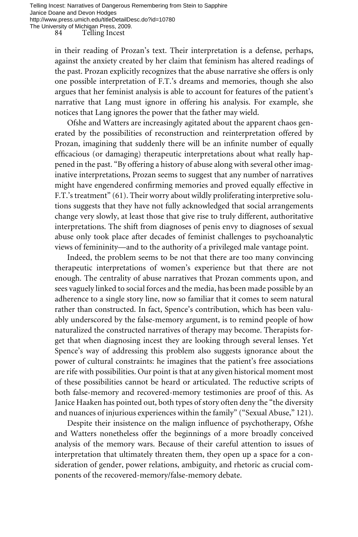in their reading of Prozan's text. Their interpretation is a defense, perhaps, against the anxiety created by her claim that feminism has altered readings of the past. Prozan explicitly recognizes that the abuse narrative she offers is only one possible interpretation of F.T.'s dreams and memories, though she also argues that her feminist analysis is able to account for features of the patient's narrative that Lang must ignore in offering his analysis. For example, she notices that Lang ignores the power that the father may wield.

Ofshe and Watters are increasingly agitated about the apparent chaos generated by the possibilities of reconstruction and reinterpretation offered by Prozan, imagining that suddenly there will be an infinite number of equally efficacious (or damaging) therapeutic interpretations about what really happened in the past. "By offering a history of abuse along with several other imaginative interpretations, Prozan seems to suggest that any number of narratives might have engendered confirming memories and proved equally effective in F.T.'s treatment" (61). Their worry about wildly proliferating interpretive solutions suggests that they have not fully acknowledged that social arrangements change very slowly, at least those that give rise to truly different, authoritative interpretations. The shift from diagnoses of penis envy to diagnoses of sexual abuse only took place after decades of feminist challenges to psychoanalytic views of femininity—and to the authority of a privileged male vantage point.

Indeed, the problem seems to be not that there are too many convincing therapeutic interpretations of women's experience but that there are not enough. The centrality of abuse narratives that Prozan comments upon, and sees vaguely linked to social forces and the media, has been made possible by an adherence to a single story line, now so familiar that it comes to seem natural rather than constructed. In fact, Spence's contribution, which has been valuably underscored by the false-memory argument, is to remind people of how naturalized the constructed narratives of therapy may become. Therapists forget that when diagnosing incest they are looking through several lenses. Yet Spence's way of addressing this problem also suggests ignorance about the power of cultural constraints: he imagines that the patient's free associations are rife with possibilities. Our point is that at any given historical moment most of these possibilities cannot be heard or articulated. The reductive scripts of both false-memory and recovered-memory testimonies are proof of this. As Janice Haaken has pointed out, both types of story often deny the "the diversity and nuances of injurious experiences within the family" ("Sexual Abuse," 121).

Despite their insistence on the malign influence of psychotherapy, Ofshe and Watters nonetheless offer the beginnings of a more broadly conceived analysis of the memory wars. Because of their careful attention to issues of interpretation that ultimately threaten them, they open up a space for a consideration of gender, power relations, ambiguity, and rhetoric as crucial components of the recovered-memory/false-memory debate.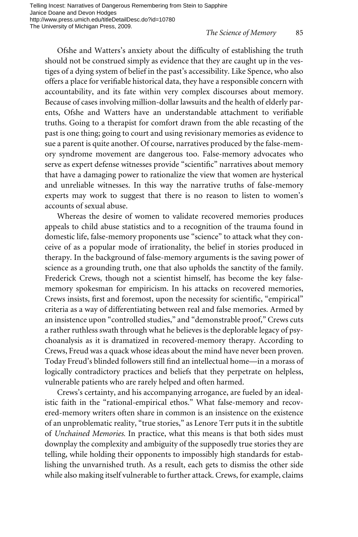Ofshe and Watters's anxiety about the difficulty of establishing the truth should not be construed simply as evidence that they are caught up in the vestiges of a dying system of belief in the past's accessibility. Like Spence, who also offers a place for verifiable historical data, they have a responsible concern with accountability, and its fate within very complex discourses about memory. Because of cases involving million-dollar lawsuits and the health of elderly parents, Ofshe and Watters have an understandable attachment to verifiable truths. Going to a therapist for comfort drawn from the able recasting of the past is one thing; going to court and using revisionary memories as evidence to sue a parent is quite another. Of course, narratives produced by the false-memory syndrome movement are dangerous too. False-memory advocates who serve as expert defense witnesses provide "scientific" narratives about memory that have a damaging power to rationalize the view that women are hysterical and unreliable witnesses. In this way the narrative truths of false-memory experts may work to suggest that there is no reason to listen to women's accounts of sexual abuse.

Whereas the desire of women to validate recovered memories produces appeals to child abuse statistics and to a recognition of the trauma found in domestic life, false-memory proponents use "science" to attack what they conceive of as a popular mode of irrationality, the belief in stories produced in therapy. In the background of false-memory arguments is the saving power of science as a grounding truth, one that also upholds the sanctity of the family. Frederick Crews, though not a scientist himself, has become the key falsememory spokesman for empiricism. In his attacks on recovered memories, Crews insists, first and foremost, upon the necessity for scientific, "empirical" criteria as a way of differentiating between real and false memories. Armed by an insistence upon "controlled studies," and "demonstrable proof," Crews cuts a rather ruthless swath through what he believes is the deplorable legacy of psychoanalysis as it is dramatized in recovered-memory therapy. According to Crews, Freud was a quack whose ideas about the mind have never been proven. Today Freud's blinded followers still find an intellectual home—in a morass of logically contradictory practices and beliefs that they perpetrate on helpless, vulnerable patients who are rarely helped and often harmed.

Crews's certainty, and his accompanying arrogance, are fueled by an idealistic faith in the "rational-empirical ethos." What false-memory and recovered-memory writers often share in common is an insistence on the existence of an unproblematic reality, "true stories," as Lenore Terr puts it in the subtitle of *Unchained Memories.* In practice, what this means is that both sides must downplay the complexity and ambiguity of the supposedly true stories they are telling, while holding their opponents to impossibly high standards for establishing the unvarnished truth. As a result, each gets to dismiss the other side while also making itself vulnerable to further attack. Crews, for example, claims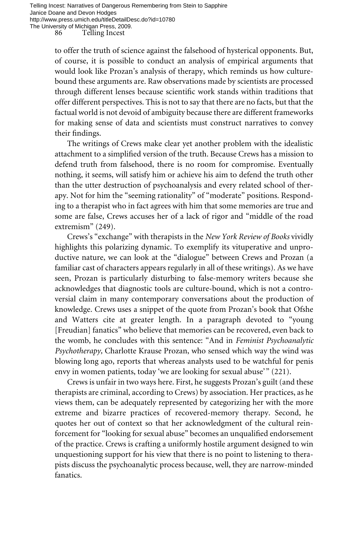to offer the truth of science against the falsehood of hysterical opponents. But, of course, it is possible to conduct an analysis of empirical arguments that would look like Prozan's analysis of therapy, which reminds us how culturebound these arguments are. Raw observations made by scientists are processed through different lenses because scientific work stands within traditions that offer different perspectives. This is not to say that there are no facts, but that the factual world is not devoid of ambiguity because there are different frameworks for making sense of data and scientists must construct narratives to convey their findings.

The writings of Crews make clear yet another problem with the idealistic attachment to a simplified version of the truth. Because Crews has a mission to defend truth from falsehood, there is no room for compromise. Eventually nothing, it seems, will satisfy him or achieve his aim to defend the truth other than the utter destruction of psychoanalysis and every related school of therapy. Not for him the "seeming rationality" of "moderate" positions. Responding to a therapist who in fact agrees with him that some memories are true and some are false, Crews accuses her of a lack of rigor and "middle of the road extremism" (249).

Crews's "exchange" with therapists in the *New York Review of Books* vividly highlights this polarizing dynamic. To exemplify its vituperative and unproductive nature, we can look at the "dialogue" between Crews and Prozan (a familiar cast of characters appears regularly in all of these writings). As we have seen, Prozan is particularly disturbing to false-memory writers because she acknowledges that diagnostic tools are culture-bound, which is not a controversial claim in many contemporary conversations about the production of knowledge. Crews uses a snippet of the quote from Prozan's book that Ofshe and Watters cite at greater length. In a paragraph devoted to "young [Freudian] fanatics" who believe that memories can be recovered, even back to the womb, he concludes with this sentence: "And in *Feminist Psychoanalytic Psychotherapy,* Charlotte Krause Prozan, who sensed which way the wind was blowing long ago, reports that whereas analysts used to be watchful for penis envy in women patients, today 'we are looking for sexual abuse'" (221).

Crews is unfair in two ways here. First, he suggests Prozan's guilt (and these therapists are criminal, according to Crews) by association. Her practices, as he views them, can be adequately represented by categorizing her with the more extreme and bizarre practices of recovered-memory therapy. Second, he quotes her out of context so that her acknowledgment of the cultural reinforcement for "looking for sexual abuse" becomes an unqualified endorsement of the practice. Crews is crafting a uniformly hostile argument designed to win unquestioning support for his view that there is no point to listening to therapists discuss the psychoanalytic process because, well, they are narrow-minded fanatics.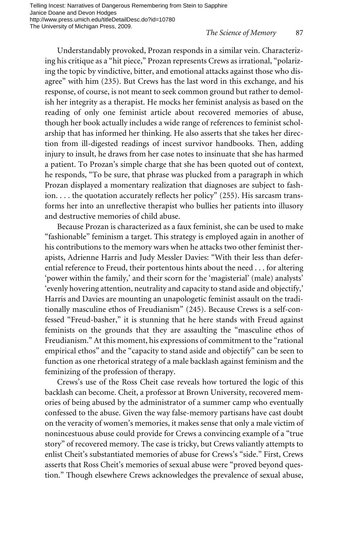## *The Science of Memory* 87

Understandably provoked, Prozan responds in a similar vein. Characterizing his critique as a "hit piece," Prozan represents Crews as irrational, "polarizing the topic by vindictive, bitter, and emotional attacks against those who disagree" with him (235). But Crews has the last word in this exchange, and his response, of course, is not meant to seek common ground but rather to demolish her integrity as a therapist. He mocks her feminist analysis as based on the reading of only one feminist article about recovered memories of abuse, though her book actually includes a wide range of references to feminist scholarship that has informed her thinking. He also asserts that she takes her direction from ill-digested readings of incest survivor handbooks. Then, adding injury to insult, he draws from her case notes to insinuate that she has harmed a patient. To Prozan's simple charge that she has been quoted out of context, he responds, "To be sure, that phrase was plucked from a paragraph in which Prozan displayed a momentary realization that diagnoses are subject to fashion. . . . the quotation accurately reflects her policy" (255). His sarcasm transforms her into an unreflective therapist who bullies her patients into illusory and destructive memories of child abuse.

Because Prozan is characterized as a faux feminist, she can be used to make "fashionable" feminism a target. This strategy is employed again in another of his contributions to the memory wars when he attacks two other feminist therapists, Adrienne Harris and Judy Messler Davies: "With their less than deferential reference to Freud, their portentous hints about the need . . . for altering 'power within the family,' and their scorn for the 'magisterial' (male) analysts' 'evenly hovering attention, neutrality and capacity to stand aside and objectify,' Harris and Davies are mounting an unapologetic feminist assault on the traditionally masculine ethos of Freudianism" (245). Because Crews is a self-confessed "Freud-basher," it is stunning that he here stands with Freud against feminists on the grounds that they are assaulting the "masculine ethos of Freudianism." At this moment, his expressions of commitment to the "rational empirical ethos" and the "capacity to stand aside and objectify" can be seen to function as one rhetorical strategy of a male backlash against feminism and the feminizing of the profession of therapy.

Crews's use of the Ross Cheit case reveals how tortured the logic of this backlash can become. Cheit, a professor at Brown University, recovered memories of being abused by the administrator of a summer camp who eventually confessed to the abuse. Given the way false-memory partisans have cast doubt on the veracity of women's memories, it makes sense that only a male victim of nonincestuous abuse could provide for Crews a convincing example of a "true story" of recovered memory. The case is tricky, but Crews valiantly attempts to enlist Cheit's substantiated memories of abuse for Crews's "side." First, Crews asserts that Ross Cheit's memories of sexual abuse were "proved beyond question." Though elsewhere Crews acknowledges the prevalence of sexual abuse,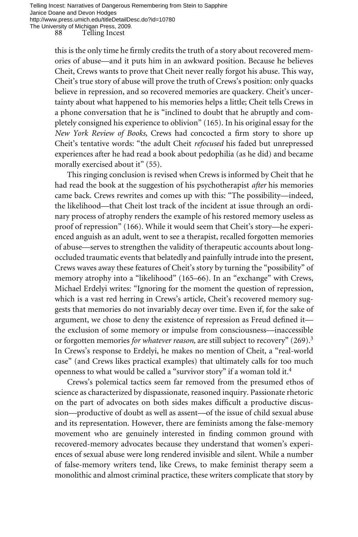this is the only time he firmly credits the truth of a story about recovered memories of abuse—and it puts him in an awkward position. Because he believes Cheit, Crews wants to prove that Cheit never really forgot his abuse. This way, Cheit's true story of abuse will prove the truth of Crews's position: only quacks believe in repression, and so recovered memories are quackery. Cheit's uncertainty about what happened to his memories helps a little; Cheit tells Crews in a phone conversation that he is "inclined to doubt that he abruptly and completely consigned his experience to oblivion" (165). In his original essay for the *New York Review of Books, Crews had concocted a firm story to shore up* Cheit's tentative words: "the adult Cheit *refocused* his faded but unrepressed experiences after he had read a book about pedophilia (as he did) and became morally exercised about it" (55).

This ringing conclusion is revised when Crews is informed by Cheit that he had read the book at the suggestion of his psychotherapist *after* his memories came back. Crews rewrites and comes up with this: "The possibility—indeed, the likelihood—that Cheit lost track of the incident at issue through an ordinary process of atrophy renders the example of his restored memory useless as proof of repression" (166). While it would seem that Cheit's story—he experienced anguish as an adult, went to see a therapist, recalled forgotten memories of abuse—serves to strengthen the validity of therapeutic accounts about longoccluded traumatic events that belatedly and painfully intrude into the present, Crews waves away these features of Cheit's story by turning the "possibility" of memory atrophy into a "likelihood" (165–66). In an "exchange" with Crews, Michael Erdelyi writes: "Ignoring for the moment the question of repression, which is a vast red herring in Crews's article, Cheit's recovered memory suggests that memories do not invariably decay over time. Even if, for the sake of argument, we chose to deny the existence of repression as Freud defined it the exclusion of some memory or impulse from consciousness—inaccessible or forgotten memories *for whatever reason,* are still subject to recovery" (269).<sup>3</sup> In Crews's response to Erdelyi, he makes no mention of Cheit, a "real-world case" (and Crews likes practical examples) that ultimately calls for too much openness to what would be called a "survivor story" if a woman told it.<sup>4</sup>

Crews's polemical tactics seem far removed from the presumed ethos of science as characterized by dispassionate, reasoned inquiry. Passionate rhetoric on the part of advocates on both sides makes difficult a productive discussion—productive of doubt as well as assent—of the issue of child sexual abuse and its representation. However, there are feminists among the false-memory movement who are genuinely interested in finding common ground with recovered-memory advocates because they understand that women's experiences of sexual abuse were long rendered invisible and silent. While a number of false-memory writers tend, like Crews, to make feminist therapy seem a monolithic and almost criminal practice, these writers complicate that story by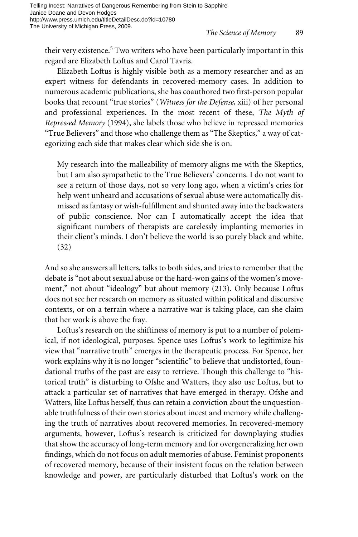their very existence.<sup>5</sup> Two writers who have been particularly important in this regard are Elizabeth Loftus and Carol Tavris.

Elizabeth Loftus is highly visible both as a memory researcher and as an expert witness for defendants in recovered-memory cases. In addition to numerous academic publications, she has coauthored two first-person popular books that recount "true stories" (*Witness for the Defense,* xiii) of her personal and professional experiences. In the most recent of these, *The Myth of Repressed Memory* (1994), she labels those who believe in repressed memories "True Believers" and those who challenge them as "The Skeptics," a way of categorizing each side that makes clear which side she is on.

My research into the malleability of memory aligns me with the Skeptics, but I am also sympathetic to the True Believers' concerns. I do not want to see a return of those days, not so very long ago, when a victim's cries for help went unheard and accusations of sexual abuse were automatically dismissed as fantasy or wish-fulfillment and shunted away into the backwaters of public conscience. Nor can I automatically accept the idea that significant numbers of therapists are carelessly implanting memories in their client's minds. I don't believe the world is so purely black and white. (32)

And so she answers all letters, talks to both sides, and tries to remember that the debate is "not about sexual abuse or the hard-won gains of the women's movement," not about "ideology" but about memory (213). Only because Loftus does not see her research on memory as situated within political and discursive contexts, or on a terrain where a narrative war is taking place, can she claim that her work is above the fray.

Loftus's research on the shiftiness of memory is put to a number of polemical, if not ideological, purposes. Spence uses Loftus's work to legitimize his view that "narrative truth" emerges in the therapeutic process. For Spence, her work explains why it is no longer "scientific" to believe that undistorted, foundational truths of the past are easy to retrieve. Though this challenge to "historical truth" is disturbing to Ofshe and Watters, they also use Loftus, but to attack a particular set of narratives that have emerged in therapy. Ofshe and Watters, like Loftus herself, thus can retain a conviction about the unquestionable truthfulness of their own stories about incest and memory while challenging the truth of narratives about recovered memories. In recovered-memory arguments, however, Loftus's research is criticized for downplaying studies that show the accuracy of long-term memory and for overgeneralizing her own findings, which do not focus on adult memories of abuse. Feminist proponents of recovered memory, because of their insistent focus on the relation between knowledge and power, are particularly disturbed that Loftus's work on the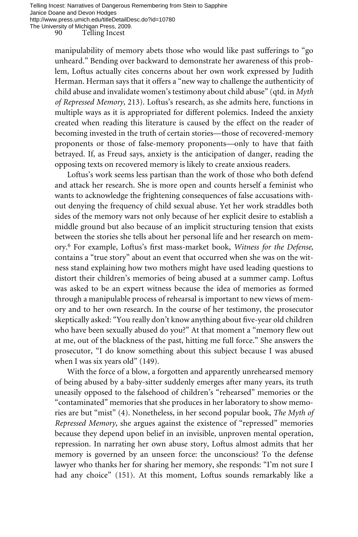90 Telling Incest Telling Incest: Narratives of Dangerous Remembering from Stein to Sapphire Janice Doane and Devon Hodges http://www.press.umich.edu/titleDetailDesc.do?id=10780 The University of Michigan Press, 2009.

> manipulability of memory abets those who would like past sufferings to "go unheard." Bending over backward to demonstrate her awareness of this problem, Loftus actually cites concerns about her own work expressed by Judith Herman. Herman says that it offers a "new way to challenge the authenticity of child abuse and invalidate women's testimony about child abuse" (qtd. in *Myth of Repressed Memory,* 213). Loftus's research, as she admits here, functions in multiple ways as it is appropriated for different polemics. Indeed the anxiety created when reading this literature is caused by the effect on the reader of becoming invested in the truth of certain stories—those of recovered-memory proponents or those of false-memory proponents—only to have that faith betrayed. If, as Freud says, anxiety is the anticipation of danger, reading the opposing texts on recovered memory is likely to create anxious readers.

> Loftus's work seems less partisan than the work of those who both defend and attack her research. She is more open and counts herself a feminist who wants to acknowledge the frightening consequences of false accusations without denying the frequency of child sexual abuse. Yet her work straddles both sides of the memory wars not only because of her explicit desire to establish a middle ground but also because of an implicit structuring tension that exists between the stories she tells about her personal life and her research on memory.<sup>6</sup> For example, Loftus's first mass-market book, *Witness for the Defense*, contains a "true story" about an event that occurred when she was on the witness stand explaining how two mothers might have used leading questions to distort their children's memories of being abused at a summer camp. Loftus was asked to be an expert witness because the idea of memories as formed through a manipulable process of rehearsal is important to new views of memory and to her own research. In the course of her testimony, the prosecutor skeptically asked: "You really don't know anything about five-year old children who have been sexually abused do you?" At that moment a "memory flew out at me, out of the blackness of the past, hitting me full force." She answers the prosecutor, "I do know something about this subject because I was abused when I was six years old" (149).

> With the force of a blow, a forgotten and apparently unrehearsed memory of being abused by a baby-sitter suddenly emerges after many years, its truth uneasily opposed to the falsehood of children's "rehearsed" memories or the "contaminated" memories that she produces in her laboratory to show memories are but "mist" (4). Nonetheless, in her second popular book, *The Myth of Repressed Memory,* she argues against the existence of "repressed" memories because they depend upon belief in an invisible, unproven mental operation, repression. In narrating her own abuse story, Loftus almost admits that her memory is governed by an unseen force: the unconscious? To the defense lawyer who thanks her for sharing her memory, she responds: "I'm not sure I had any choice" (151). At this moment, Loftus sounds remarkably like a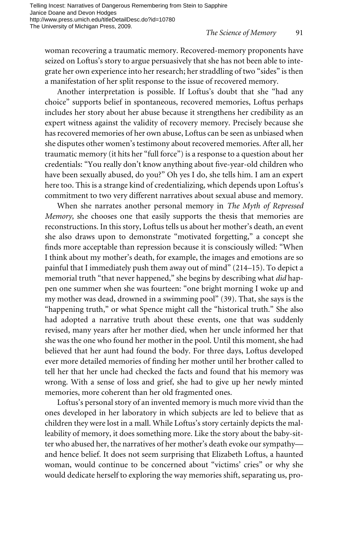woman recovering a traumatic memory. Recovered-memory proponents have seized on Loftus's story to argue persuasively that she has not been able to integrate her own experience into her research; her straddling of two "sides" is then a manifestation of her split response to the issue of recovered memory.

Another interpretation is possible. If Loftus's doubt that she "had any choice" supports belief in spontaneous, recovered memories, Loftus perhaps includes her story about her abuse because it strengthens her credibility as an expert witness against the validity of recovery memory. Precisely because she has recovered memories of her own abuse, Loftus can be seen as unbiased when she disputes other women's testimony about recovered memories. After all, her traumatic memory (it hits her "full force") is a response to a question about her credentials: "You really don't know anything about five-year-old children who have been sexually abused, do you?" Oh yes I do, she tells him. I am an expert here too. This is a strange kind of credentializing, which depends upon Loftus's commitment to two very different narratives about sexual abuse and memory.

When she narrates another personal memory in *The Myth of Repressed Memory,* she chooses one that easily supports the thesis that memories are reconstructions. In this story, Loftus tells us about her mother's death, an event she also draws upon to demonstrate "motivated forgetting," a concept she finds more acceptable than repression because it is consciously willed: "When I think about my mother's death, for example, the images and emotions are so painful that I immediately push them away out of mind" (214–15). To depict a memorial truth "that never happened," she begins by describing what *did* happen one summer when she was fourteen: "one bright morning I woke up and my mother was dead, drowned in a swimming pool" (39). That, she says is the "happening truth," or what Spence might call the "historical truth." She also had adopted a narrative truth about these events, one that was suddenly revised, many years after her mother died, when her uncle informed her that she was the one who found her mother in the pool. Until this moment, she had believed that her aunt had found the body. For three days, Loftus developed ever more detailed memories of finding her mother until her brother called to tell her that her uncle had checked the facts and found that his memory was wrong. With a sense of loss and grief, she had to give up her newly minted memories, more coherent than her old fragmented ones.

Loftus's personal story of an invented memory is much more vivid than the ones developed in her laboratory in which subjects are led to believe that as children they were lost in a mall. While Loftus's story certainly depicts the malleability of memory, it does something more. Like the story about the baby-sitter who abused her, the narratives of her mother's death evoke our sympathy and hence belief. It does not seem surprising that Elizabeth Loftus, a haunted woman, would continue to be concerned about "victims' cries" or why she would dedicate herself to exploring the way memories shift, separating us, pro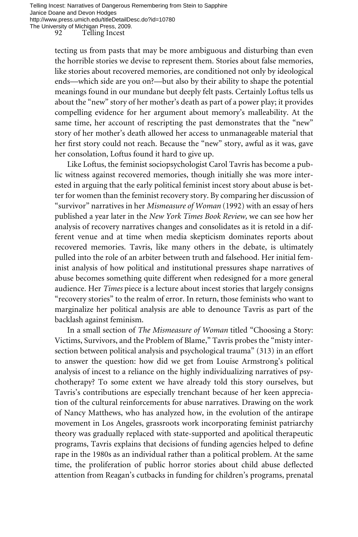tecting us from pasts that may be more ambiguous and disturbing than even the horrible stories we devise to represent them. Stories about false memories, like stories about recovered memories, are conditioned not only by ideological ends—which side are you on?—but also by their ability to shape the potential meanings found in our mundane but deeply felt pasts. Certainly Loftus tells us about the "new" story of her mother's death as part of a power play; it provides compelling evidence for her argument about memory's malleability. At the same time, her account of rescripting the past demonstrates that the "new" story of her mother's death allowed her access to unmanageable material that her first story could not reach. Because the "new" story, awful as it was, gave her consolation, Loftus found it hard to give up.

Like Loftus, the feminist sociopsychologist Carol Tavris has become a public witness against recovered memories, though initially she was more interested in arguing that the early political feminist incest story about abuse is better for women than the feminist recovery story. By comparing her discussion of "survivor" narratives in her *Mismeasure of Woman* (1992) with an essay of hers published a year later in the *New York Times Book Review,* we can see how her analysis of recovery narratives changes and consolidates as it is retold in a different venue and at time when media skepticism dominates reports about recovered memories. Tavris, like many others in the debate, is ultimately pulled into the role of an arbiter between truth and falsehood. Her initial feminist analysis of how political and institutional pressures shape narratives of abuse becomes something quite different when redesigned for a more general audience. Her *Times* piece is a lecture about incest stories that largely consigns "recovery stories" to the realm of error. In return, those feminists who want to marginalize her political analysis are able to denounce Tavris as part of the backlash against feminism.

In a small section of *The Mismeasure of Woman* titled "Choosing a Story: Victims, Survivors, and the Problem of Blame," Tavris probes the "misty intersection between political analysis and psychological trauma" (313) in an effort to answer the question: how did we get from Louise Armstrong's political analysis of incest to a reliance on the highly individualizing narratives of psychotherapy? To some extent we have already told this story ourselves, but Tavris's contributions are especially trenchant because of her keen appreciation of the cultural reinforcements for abuse narratives. Drawing on the work of Nancy Matthews, who has analyzed how, in the evolution of the antirape movement in Los Angeles, grassroots work incorporating feminist patriarchy theory was gradually replaced with state-supported and apolitical therapeutic programs, Tavris explains that decisions of funding agencies helped to define rape in the 1980s as an individual rather than a political problem. At the same time, the proliferation of public horror stories about child abuse deflected attention from Reagan's cutbacks in funding for children's programs, prenatal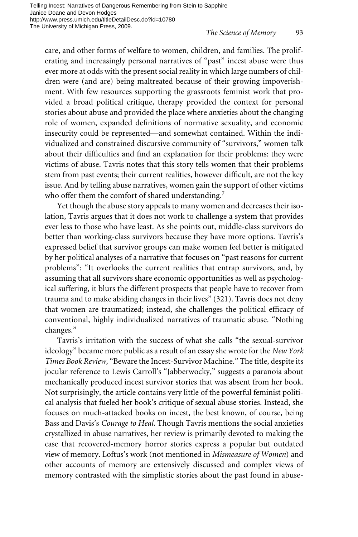care, and other forms of welfare to women, children, and families. The proliferating and increasingly personal narratives of "past" incest abuse were thus ever more at odds with the present social reality in which large numbers of children were (and are) being maltreated because of their growing impoverishment. With few resources supporting the grassroots feminist work that provided a broad political critique, therapy provided the context for personal stories about abuse and provided the place where anxieties about the changing role of women, expanded definitions of normative sexuality, and economic insecurity could be represented—and somewhat contained. Within the individualized and constrained discursive community of "survivors," women talk about their difficulties and find an explanation for their problems: they were victims of abuse. Tavris notes that this story tells women that their problems stem from past events; their current realities, however difficult, are not the key issue. And by telling abuse narratives, women gain the support of other victims who offer them the comfort of shared understanding.<sup>7</sup>

Yet though the abuse story appeals to many women and decreases their isolation, Tavris argues that it does not work to challenge a system that provides ever less to those who have least. As she points out, middle-class survivors do better than working-class survivors because they have more options. Tavris's expressed belief that survivor groups can make women feel better is mitigated by her political analyses of a narrative that focuses on "past reasons for current problems": "It overlooks the current realities that entrap survivors, and, by assuming that all survivors share economic opportunities as well as psychological suffering, it blurs the different prospects that people have to recover from trauma and to make abiding changes in their lives" (321). Tavris does not deny that women are traumatized; instead, she challenges the political efficacy of conventional, highly individualized narratives of traumatic abuse. "Nothing changes."

Tavris's irritation with the success of what she calls "the sexual-survivor ideology" became more public as a result of an essay she wrote for the *New York Times Book Review,* "Beware the Incest-Survivor Machine." The title, despite its jocular reference to Lewis Carroll's "Jabberwocky," suggests a paranoia about mechanically produced incest survivor stories that was absent from her book. Not surprisingly, the article contains very little of the powerful feminist political analysis that fueled her book's critique of sexual abuse stories. Instead, she focuses on much-attacked books on incest, the best known, of course, being Bass and Davis's *Courage to Heal.* Though Tavris mentions the social anxieties crystallized in abuse narratives, her review is primarily devoted to making the case that recovered-memory horror stories express a popular but outdated view of memory. Loftus's work (not mentioned in *Mismeasure of Women*) and other accounts of memory are extensively discussed and complex views of memory contrasted with the simplistic stories about the past found in abuse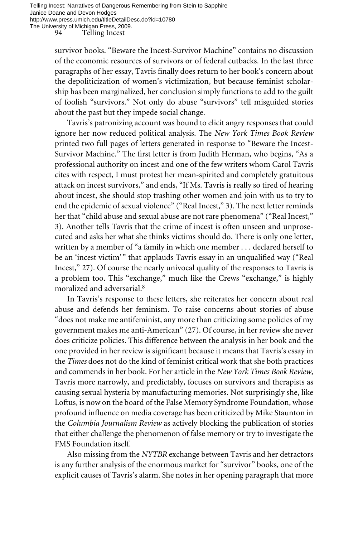survivor books. "Beware the Incest-Survivor Machine" contains no discussion of the economic resources of survivors or of federal cutbacks. In the last three paragraphs of her essay, Tavris finally does return to her book's concern about the depoliticization of women's victimization, but because feminist scholarship has been marginalized, her conclusion simply functions to add to the guilt of foolish "survivors." Not only do abuse "survivors" tell misguided stories about the past but they impede social change.

Tavris's patronizing account was bound to elicit angry responses that could ignore her now reduced political analysis. The *New York Times Book Review* printed two full pages of letters generated in response to "Beware the Incest-Survivor Machine." The first letter is from Judith Herman, who begins, "As a professional authority on incest and one of the few writers whom Carol Tavris cites with respect, I must protest her mean-spirited and completely gratuitous attack on incest survivors," and ends, "If Ms. Tavris is really so tired of hearing about incest, she should stop trashing other women and join with us to try to end the epidemic of sexual violence" ("Real Incest," 3). The next letter reminds her that "child abuse and sexual abuse are not rare phenomena" ("Real Incest," 3). Another tells Tavris that the crime of incest is often unseen and unprosecuted and asks her what she thinks victims should do. There is only one letter, written by a member of "a family in which one member . . . declared herself to be an 'incest victim'" that applauds Tavris essay in an unqualified way ("Real Incest," 27). Of course the nearly univocal quality of the responses to Tavris is a problem too. This "exchange," much like the Crews "exchange," is highly moralized and adversarial.8

In Tavris's response to these letters, she reiterates her concern about real abuse and defends her feminism. To raise concerns about stories of abuse "does not make me antifeminist, any more than criticizing some policies of my government makes me anti-American" (27). Of course, in her review she never does criticize policies. This difference between the analysis in her book and the one provided in her review is significant because it means that Tavris's essay in the *Times* does not do the kind of feminist critical work that she both practices and commends in her book. For her article in the *New York Times Book Review,* Tavris more narrowly, and predictably, focuses on survivors and therapists as causing sexual hysteria by manufacturing memories. Not surprisingly she, like Loftus, is now on the board of the False Memory Syndrome Foundation, whose profound influence on media coverage has been criticized by Mike Staunton in the *Columbia Journalism Review* as actively blocking the publication of stories that either challenge the phenomenon of false memory or try to investigate the FMS Foundation itself.

Also missing from the *NYTBR* exchange between Tavris and her detractors is any further analysis of the enormous market for "survivor" books, one of the explicit causes of Tavris's alarm. She notes in her opening paragraph that more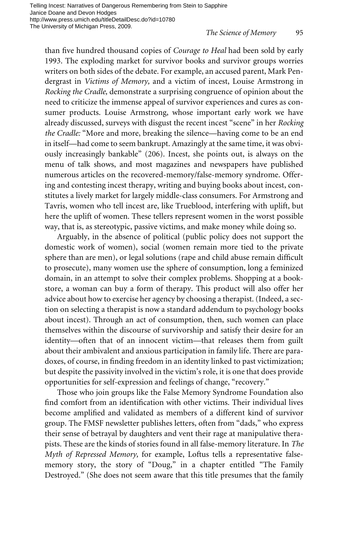Telling Incest: Narratives of Dangerous Remembering from Stein to Sapphire Janice Doane and Devon Hodges http://www.press.umich.edu/titleDetailDesc.do?id=10780 The University of Michigan Press, 2009.

## *The Science of Memory* 95

than five hundred thousand copies of *Courage to Heal* had been sold by early 1993. The exploding market for survivor books and survivor groups worries writers on both sides of the debate. For example, an accused parent, Mark Pendergrast in *Victims of Memory,* and a victim of incest, Louise Armstrong in *Rocking the Cradle,* demonstrate a surprising congruence of opinion about the need to criticize the immense appeal of survivor experiences and cures as consumer products. Louise Armstrong, whose important early work we have already discussed, surveys with disgust the recent incest "scene" in her *Rocking the Cradle:* "More and more, breaking the silence—having come to be an end in itself—had come to seem bankrupt. Amazingly at the same time, it was obviously increasingly bankable" (206). Incest, she points out, is always on the menu of talk shows, and most magazines and newspapers have published numerous articles on the recovered-memory/false-memory syndrome. Offering and contesting incest therapy, writing and buying books about incest, constitutes a lively market for largely middle-class consumers. For Armstrong and Tavris, women who tell incest are, like Trueblood, interfering with uplift, but here the uplift of women. These tellers represent women in the worst possible way, that is, as stereotypic, passive victims, and make money while doing so.

Arguably, in the absence of political (public policy does not support the domestic work of women), social (women remain more tied to the private sphere than are men), or legal solutions (rape and child abuse remain difficult to prosecute), many women use the sphere of consumption, long a feminized domain, in an attempt to solve their complex problems. Shopping at a bookstore, a woman can buy a form of therapy. This product will also offer her advice about how to exercise her agency by choosing a therapist. (Indeed, a section on selecting a therapist is now a standard addendum to psychology books about incest). Through an act of consumption, then, such women can place themselves within the discourse of survivorship and satisfy their desire for an identity—often that of an innocent victim—that releases them from guilt about their ambivalent and anxious participation in family life. There are paradoxes, of course, in finding freedom in an identity linked to past victimization; but despite the passivity involved in the victim's role, it is one that does provide opportunities for self-expression and feelings of change, "recovery."

Those who join groups like the False Memory Syndrome Foundation also find comfort from an identification with other victims. Their individual lives become amplified and validated as members of a different kind of survivor group. The FMSF newsletter publishes letters, often from "dads," who express their sense of betrayal by daughters and vent their rage at manipulative therapists. These are the kinds of stories found in all false-memory literature. In *The Myth of Repressed Memory,* for example, Loftus tells a representative falsememory story, the story of "Doug," in a chapter entitled "The Family Destroyed." (She does not seem aware that this title presumes that the family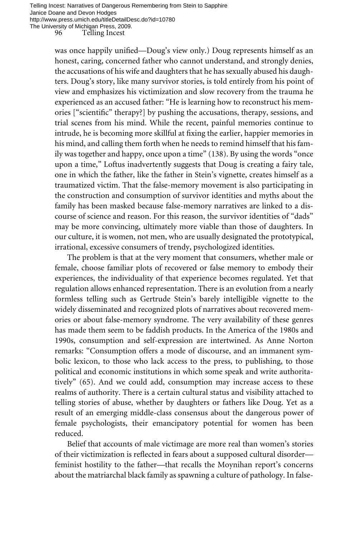Telling Incest: Narratives of Dangerous Remembering from Stein to Sapphire Janice Doane and Devon Hodges http://www.press.umich.edu/titleDetailDesc.do?id=10780 The University of Michigan Press, 2009.

96 Telling Incest

was once happily unified—Doug's view only.) Doug represents himself as an honest, caring, concerned father who cannot understand, and strongly denies, the accusations of his wife and daughters that he has sexually abused his daughters. Doug's story, like many survivor stories, is told entirely from his point of view and emphasizes his victimization and slow recovery from the trauma he experienced as an accused father: "He is learning how to reconstruct his memories ["scientific" therapy?] by pushing the accusations, therapy, sessions, and trial scenes from his mind. While the recent, painful memories continue to intrude, he is becoming more skillful at fixing the earlier, happier memories in his mind, and calling them forth when he needs to remind himself that his family was together and happy, once upon a time" (138). By using the words "once upon a time," Loftus inadvertently suggests that Doug is creating a fairy tale, one in which the father, like the father in Stein's vignette, creates himself as a traumatized victim. That the false-memory movement is also participating in the construction and consumption of survivor identities and myths about the family has been masked because false-memory narratives are linked to a discourse of science and reason. For this reason, the survivor identities of "dads" may be more convincing, ultimately more viable than those of daughters. In our culture, it is women, not men, who are usually designated the prototypical, irrational, excessive consumers of trendy, psychologized identities.

The problem is that at the very moment that consumers, whether male or female, choose familiar plots of recovered or false memory to embody their experiences, the individuality of that experience becomes regulated. Yet that regulation allows enhanced representation. There is an evolution from a nearly formless telling such as Gertrude Stein's barely intelligible vignette to the widely disseminated and recognized plots of narratives about recovered memories or about false-memory syndrome. The very availability of these genres has made them seem to be faddish products. In the America of the 1980s and 1990s, consumption and self-expression are intertwined. As Anne Norton remarks: "Consumption offers a mode of discourse, and an immanent symbolic lexicon, to those who lack access to the press, to publishing, to those political and economic institutions in which some speak and write authoritatively" (65). And we could add, consumption may increase access to these realms of authority. There is a certain cultural status and visibility attached to telling stories of abuse, whether by daughters or fathers like Doug. Yet as a result of an emerging middle-class consensus about the dangerous power of female psychologists, their emancipatory potential for women has been reduced.

Belief that accounts of male victimage are more real than women's stories of their victimization is reflected in fears about a supposed cultural disorder feminist hostility to the father—that recalls the Moynihan report's concerns about the matriarchal black family as spawning a culture of pathology. In false